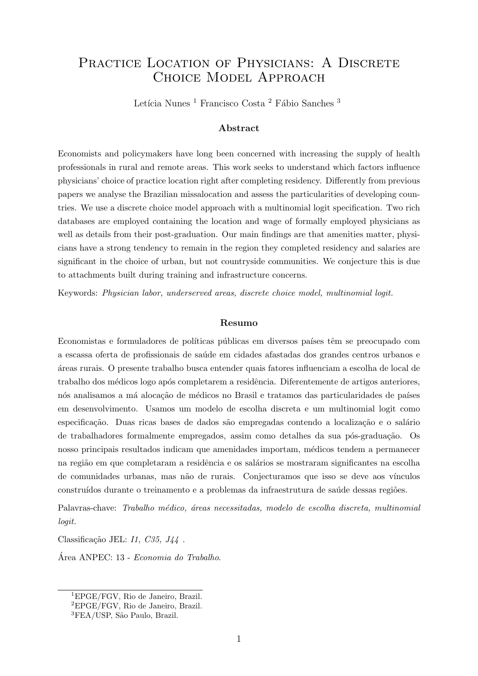# PRACTICE LOCATION OF PHYSICIANS: A DISCRETE Choice Model Approach

Letícia Nunes  $^1$  Francisco Costa  $^2$  Fábio Sanches  $^3$ 

#### Abstract

Economists and policymakers have long been concerned with increasing the supply of health professionals in rural and remote areas. This work seeks to understand which factors influence physicians' choice of practice location right after completing residency. Differently from previous papers we analyse the Brazilian missalocation and assess the particularities of developing countries. We use a discrete choice model approach with a multinomial logit specification. Two rich databases are employed containing the location and wage of formally employed physicians as well as details from their post-graduation. Our main findings are that amenities matter, physicians have a strong tendency to remain in the region they completed residency and salaries are significant in the choice of urban, but not countryside communities. We conjecture this is due to attachments built during training and infrastructure concerns.

Keywords: Physician labor, underserved areas, discrete choice model, multinomial logit.

#### Resumo

Economistas e formuladores de políticas públicas em diversos países têm se preocupado com a escassa oferta de profissionais de sa´ude em cidades afastadas dos grandes centros urbanos e ´areas rurais. O presente trabalho busca entender quais fatores influenciam a escolha de local de trabalho dos médicos logo após completarem a residência. Diferentemente de artigos anteriores, nós analisamos a má alocação de médicos no Brasil e tratamos das particularidades de países em desenvolvimento. Usamos um modelo de escolha discreta e um multinomial logit como especificação. Duas ricas bases de dados são empregadas contendo a localização e o salário de trabalhadores formalmente empregados, assim como detalhes da sua pós-graduação. Os nosso principais resultados indicam que amenidades importam, m´edicos tendem a permanecer na região em que completaram a residência e os salários se mostraram significantes na escolha de comunidades urbanas, mas não de rurais. Conjecturamos que isso se deve aos vínculos construídos durante o treinamento e a problemas da infraestrutura de saúde dessas regiões.

Palavras-chave: Trabalho médico, áreas necessitadas, modelo de escolha discreta, multinomial logit.

Classificação JEL:  $I1, C35, J44$ .

Área ANPEC: 13 - Economia do Trabalho.

<sup>1</sup>EPGE/FGV, Rio de Janeiro, Brazil.

<sup>2</sup>EPGE/FGV, Rio de Janeiro, Brazil.

<sup>&</sup>lt;sup>3</sup>FEA/USP, São Paulo, Brazil.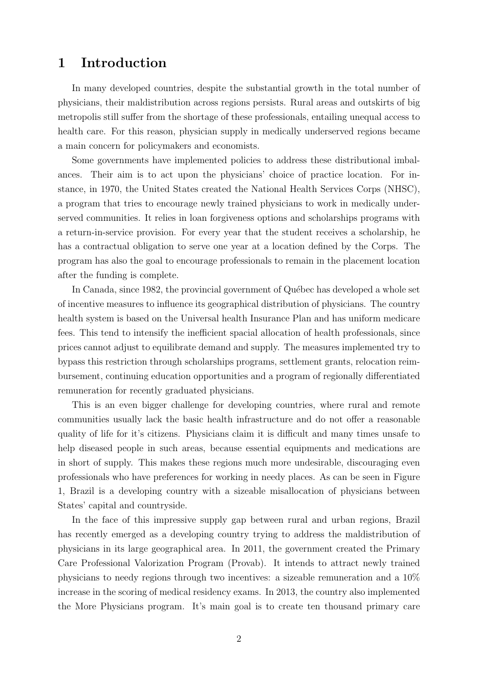# 1 Introduction

In many developed countries, despite the substantial growth in the total number of physicians, their maldistribution across regions persists. Rural areas and outskirts of big metropolis still suffer from the shortage of these professionals, entailing unequal access to health care. For this reason, physician supply in medically underserved regions became a main concern for policymakers and economists.

Some governments have implemented policies to address these distributional imbalances. Their aim is to act upon the physicians' choice of practice location. For instance, in 1970, the United States created the National Health Services Corps (NHSC), a program that tries to encourage newly trained physicians to work in medically underserved communities. It relies in loan forgiveness options and scholarships programs with a return-in-service provision. For every year that the student receives a scholarship, he has a contractual obligation to serve one year at a location defined by the Corps. The program has also the goal to encourage professionals to remain in the placement location after the funding is complete.

In Canada, since 1982, the provincial government of Québec has developed a whole set of incentive measures to influence its geographical distribution of physicians. The country health system is based on the Universal health Insurance Plan and has uniform medicare fees. This tend to intensify the inefficient spacial allocation of health professionals, since prices cannot adjust to equilibrate demand and supply. The measures implemented try to bypass this restriction through scholarships programs, settlement grants, relocation reimbursement, continuing education opportunities and a program of regionally differentiated remuneration for recently graduated physicians.

This is an even bigger challenge for developing countries, where rural and remote communities usually lack the basic health infrastructure and do not offer a reasonable quality of life for it's citizens. Physicians claim it is difficult and many times unsafe to help diseased people in such areas, because essential equipments and medications are in short of supply. This makes these regions much more undesirable, discouraging even professionals who have preferences for working in needy places. As can be seen in Figure 1, Brazil is a developing country with a sizeable misallocation of physicians between States' capital and countryside.

In the face of this impressive supply gap between rural and urban regions, Brazil has recently emerged as a developing country trying to address the maldistribution of physicians in its large geographical area. In 2011, the government created the Primary Care Professional Valorization Program (Provab). It intends to attract newly trained physicians to needy regions through two incentives: a sizeable remuneration and a 10% increase in the scoring of medical residency exams. In 2013, the country also implemented the More Physicians program. It's main goal is to create ten thousand primary care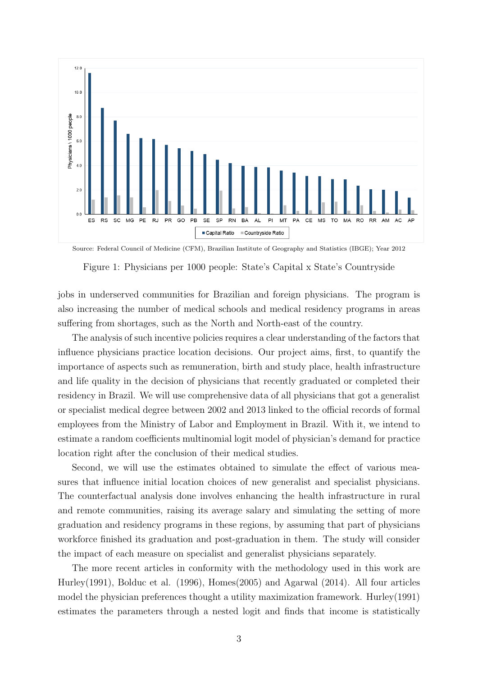

Source: Federal Council of Medicine (CFM), Brazilian Institute of Geography and Statistics (IBGE); Year 2012

Figure 1: Physicians per 1000 people: State's Capital x State's Countryside

jobs in underserved communities for Brazilian and foreign physicians. The program is also increasing the number of medical schools and medical residency programs in areas suffering from shortages, such as the North and North-east of the country.

The analysis of such incentive policies requires a clear understanding of the factors that influence physicians practice location decisions. Our project aims, first, to quantify the importance of aspects such as remuneration, birth and study place, health infrastructure and life quality in the decision of physicians that recently graduated or completed their residency in Brazil. We will use comprehensive data of all physicians that got a generalist or specialist medical degree between 2002 and 2013 linked to the official records of formal employees from the Ministry of Labor and Employment in Brazil. With it, we intend to estimate a random coefficients multinomial logit model of physician's demand for practice location right after the conclusion of their medical studies.

Second, we will use the estimates obtained to simulate the effect of various measures that influence initial location choices of new generalist and specialist physicians. The counterfactual analysis done involves enhancing the health infrastructure in rural and remote communities, raising its average salary and simulating the setting of more graduation and residency programs in these regions, by assuming that part of physicians workforce finished its graduation and post-graduation in them. The study will consider the impact of each measure on specialist and generalist physicians separately.

The more recent articles in conformity with the methodology used in this work are Hurley(1991), Bolduc et al. (1996), Homes(2005) and Agarwal (2014). All four articles model the physician preferences thought a utility maximization framework. Hurley(1991) estimates the parameters through a nested logit and finds that income is statistically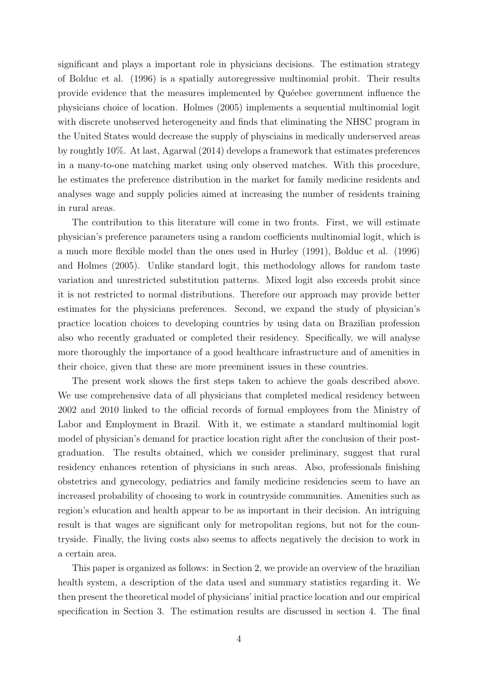significant and plays a important role in physicians decisions. The estimation strategy of Bolduc et al. (1996) is a spatially autoregressive multinomial probit. Their results provide evidence that the measures implemented by Quéebec government influence the physicians choice of location. Holmes (2005) implements a sequential multinomial logit with discrete unobserved heterogeneity and finds that eliminating the NHSC program in the United States would decrease the supply of physciains in medically underserved areas by roughtly 10%. At last, Agarwal (2014) develops a framework that estimates preferences in a many-to-one matching market using only observed matches. With this procedure, he estimates the preference distribution in the market for family medicine residents and analyses wage and supply policies aimed at increasing the number of residents training in rural areas.

The contribution to this literature will come in two fronts. First, we will estimate physician's preference parameters using a random coefficients multinomial logit, which is a much more flexible model than the ones used in Hurley (1991), Bolduc et al. (1996) and Holmes (2005). Unlike standard logit, this methodology allows for random taste variation and unrestricted substitution patterns. Mixed logit also exceeds probit since it is not restricted to normal distributions. Therefore our approach may provide better estimates for the physicians preferences. Second, we expand the study of physician's practice location choices to developing countries by using data on Brazilian profession also who recently graduated or completed their residency. Specifically, we will analyse more thoroughly the importance of a good healthcare infrastructure and of amenities in their choice, given that these are more preeminent issues in these countries.

The present work shows the first steps taken to achieve the goals described above. We use comprehensive data of all physicians that completed medical residency between 2002 and 2010 linked to the official records of formal employees from the Ministry of Labor and Employment in Brazil. With it, we estimate a standard multinomial logit model of physician's demand for practice location right after the conclusion of their postgraduation. The results obtained, which we consider preliminary, suggest that rural residency enhances retention of physicians in such areas. Also, professionals finishing obstetrics and gynecology, pediatrics and family medicine residencies seem to have an increased probability of choosing to work in countryside communities. Amenities such as region's education and health appear to be as important in their decision. An intriguing result is that wages are significant only for metropolitan regions, but not for the countryside. Finally, the living costs also seems to affects negatively the decision to work in a certain area.

This paper is organized as follows: in Section 2, we provide an overview of the brazilian health system, a description of the data used and summary statistics regarding it. We then present the theoretical model of physicians' initial practice location and our empirical specification in Section 3. The estimation results are discussed in section 4. The final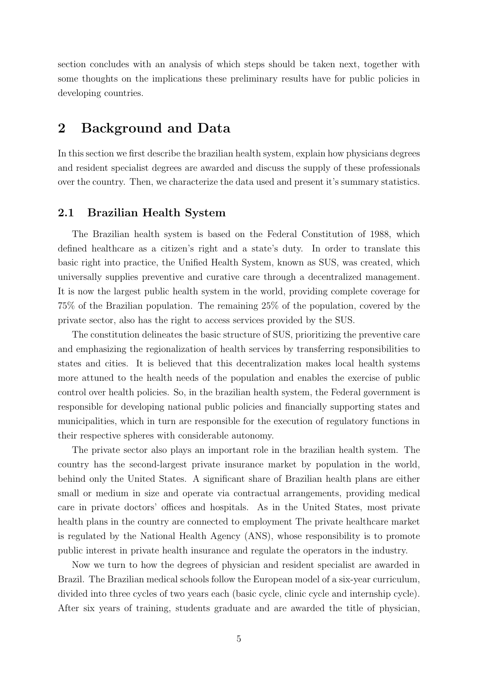section concludes with an analysis of which steps should be taken next, together with some thoughts on the implications these preliminary results have for public policies in developing countries.

## 2 Background and Data

In this section we first describe the brazilian health system, explain how physicians degrees and resident specialist degrees are awarded and discuss the supply of these professionals over the country. Then, we characterize the data used and present it's summary statistics.

#### 2.1 Brazilian Health System

The Brazilian health system is based on the Federal Constitution of 1988, which defined healthcare as a citizen's right and a state's duty. In order to translate this basic right into practice, the Unified Health System, known as SUS, was created, which universally supplies preventive and curative care through a decentralized management. It is now the largest public health system in the world, providing complete coverage for 75% of the Brazilian population. The remaining 25% of the population, covered by the private sector, also has the right to access services provided by the SUS.

The constitution delineates the basic structure of SUS, prioritizing the preventive care and emphasizing the regionalization of health services by transferring responsibilities to states and cities. It is believed that this decentralization makes local health systems more attuned to the health needs of the population and enables the exercise of public control over health policies. So, in the brazilian health system, the Federal government is responsible for developing national public policies and financially supporting states and municipalities, which in turn are responsible for the execution of regulatory functions in their respective spheres with considerable autonomy.

The private sector also plays an important role in the brazilian health system. The country has the second-largest private insurance market by population in the world, behind only the United States. A significant share of Brazilian health plans are either small or medium in size and operate via contractual arrangements, providing medical care in private doctors' offices and hospitals. As in the United States, most private health plans in the country are connected to employment The private healthcare market is regulated by the National Health Agency (ANS), whose responsibility is to promote public interest in private health insurance and regulate the operators in the industry.

Now we turn to how the degrees of physician and resident specialist are awarded in Brazil. The Brazilian medical schools follow the European model of a six-year curriculum, divided into three cycles of two years each (basic cycle, clinic cycle and internship cycle). After six years of training, students graduate and are awarded the title of physician,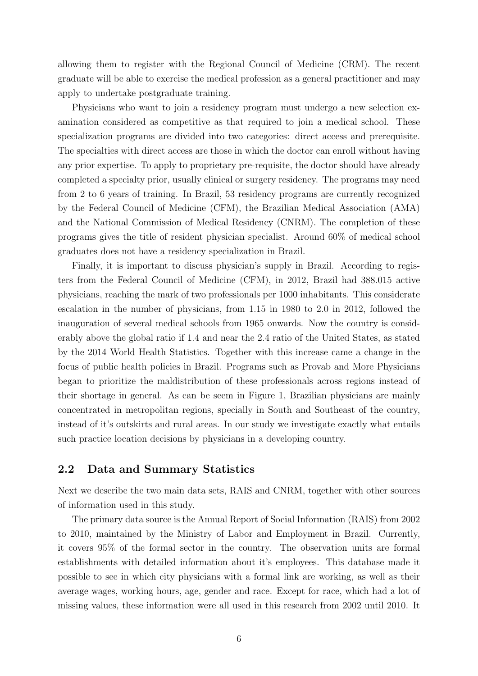allowing them to register with the Regional Council of Medicine (CRM). The recent graduate will be able to exercise the medical profession as a general practitioner and may apply to undertake postgraduate training.

Physicians who want to join a residency program must undergo a new selection examination considered as competitive as that required to join a medical school. These specialization programs are divided into two categories: direct access and prerequisite. The specialties with direct access are those in which the doctor can enroll without having any prior expertise. To apply to proprietary pre-requisite, the doctor should have already completed a specialty prior, usually clinical or surgery residency. The programs may need from 2 to 6 years of training. In Brazil, 53 residency programs are currently recognized by the Federal Council of Medicine (CFM), the Brazilian Medical Association (AMA) and the National Commission of Medical Residency (CNRM). The completion of these programs gives the title of resident physician specialist. Around 60% of medical school graduates does not have a residency specialization in Brazil.

Finally, it is important to discuss physician's supply in Brazil. According to registers from the Federal Council of Medicine (CFM), in 2012, Brazil had 388.015 active physicians, reaching the mark of two professionals per 1000 inhabitants. This considerate escalation in the number of physicians, from 1.15 in 1980 to 2.0 in 2012, followed the inauguration of several medical schools from 1965 onwards. Now the country is considerably above the global ratio if 1.4 and near the 2.4 ratio of the United States, as stated by the 2014 World Health Statistics. Together with this increase came a change in the focus of public health policies in Brazil. Programs such as Provab and More Physicians began to prioritize the maldistribution of these professionals across regions instead of their shortage in general. As can be seem in Figure 1, Brazilian physicians are mainly concentrated in metropolitan regions, specially in South and Southeast of the country, instead of it's outskirts and rural areas. In our study we investigate exactly what entails such practice location decisions by physicians in a developing country.

### 2.2 Data and Summary Statistics

Next we describe the two main data sets, RAIS and CNRM, together with other sources of information used in this study.

The primary data source is the Annual Report of Social Information (RAIS) from 2002 to 2010, maintained by the Ministry of Labor and Employment in Brazil. Currently, it covers 95% of the formal sector in the country. The observation units are formal establishments with detailed information about it's employees. This database made it possible to see in which city physicians with a formal link are working, as well as their average wages, working hours, age, gender and race. Except for race, which had a lot of missing values, these information were all used in this research from 2002 until 2010. It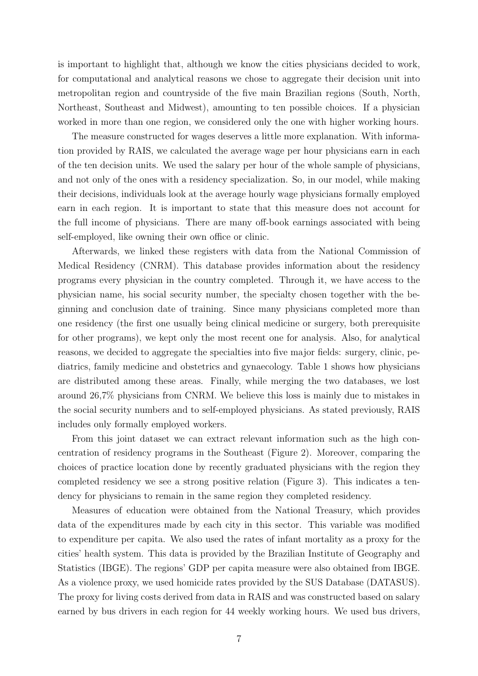is important to highlight that, although we know the cities physicians decided to work, for computational and analytical reasons we chose to aggregate their decision unit into metropolitan region and countryside of the five main Brazilian regions (South, North, Northeast, Southeast and Midwest), amounting to ten possible choices. If a physician worked in more than one region, we considered only the one with higher working hours.

The measure constructed for wages deserves a little more explanation. With information provided by RAIS, we calculated the average wage per hour physicians earn in each of the ten decision units. We used the salary per hour of the whole sample of physicians, and not only of the ones with a residency specialization. So, in our model, while making their decisions, individuals look at the average hourly wage physicians formally employed earn in each region. It is important to state that this measure does not account for the full income of physicians. There are many off-book earnings associated with being self-employed, like owning their own office or clinic.

Afterwards, we linked these registers with data from the National Commission of Medical Residency (CNRM). This database provides information about the residency programs every physician in the country completed. Through it, we have access to the physician name, his social security number, the specialty chosen together with the beginning and conclusion date of training. Since many physicians completed more than one residency (the first one usually being clinical medicine or surgery, both prerequisite for other programs), we kept only the most recent one for analysis. Also, for analytical reasons, we decided to aggregate the specialties into five major fields: surgery, clinic, pediatrics, family medicine and obstetrics and gynaecology. Table 1 shows how physicians are distributed among these areas. Finally, while merging the two databases, we lost around 26,7% physicians from CNRM. We believe this loss is mainly due to mistakes in the social security numbers and to self-employed physicians. As stated previously, RAIS includes only formally employed workers.

From this joint dataset we can extract relevant information such as the high concentration of residency programs in the Southeast (Figure 2). Moreover, comparing the choices of practice location done by recently graduated physicians with the region they completed residency we see a strong positive relation (Figure 3). This indicates a tendency for physicians to remain in the same region they completed residency.

Measures of education were obtained from the National Treasury, which provides data of the expenditures made by each city in this sector. This variable was modified to expenditure per capita. We also used the rates of infant mortality as a proxy for the cities' health system. This data is provided by the Brazilian Institute of Geography and Statistics (IBGE). The regions' GDP per capita measure were also obtained from IBGE. As a violence proxy, we used homicide rates provided by the SUS Database (DATASUS). The proxy for living costs derived from data in RAIS and was constructed based on salary earned by bus drivers in each region for 44 weekly working hours. We used bus drivers,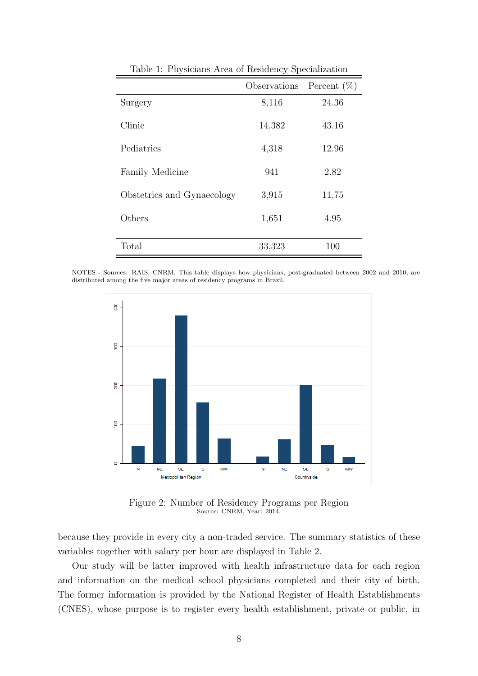|                            | Observations | Percent $(\%)$ |
|----------------------------|--------------|----------------|
| Surgery                    | 8,116        | 24.36          |
| Clinic                     | 14,382       | 43.16          |
| Pediatrics                 | 4,318        | 12.96          |
| <b>Family Medicine</b>     | 941          | 2.82           |
| Obstetrics and Gynaecology | 3,915        | 11.75          |
| Others                     | 1,651        | 4.95           |
| Total                      | 33,323       | 100            |

Table 1: Physicians Area of Residency Specialization

NOTES - Sources: RAIS, CNRM. This table displays how physicians, post-graduated between 2002 and 2010, are distributed among the five major areas of residency programs in Brazil.



Figure 2: Number of Residency Programs per Region Source: CNRM, Year: 2014.

because they provide in every city a non-traded service. The summary statistics of these variables together with salary per hour are displayed in Table 2.

Our study will be latter improved with health infrastructure data for each region and information on the medical school physicians completed and their city of birth. The former information is provided by the National Register of Health Establishments (CNES), whose purpose is to register every health establishment, private or public, in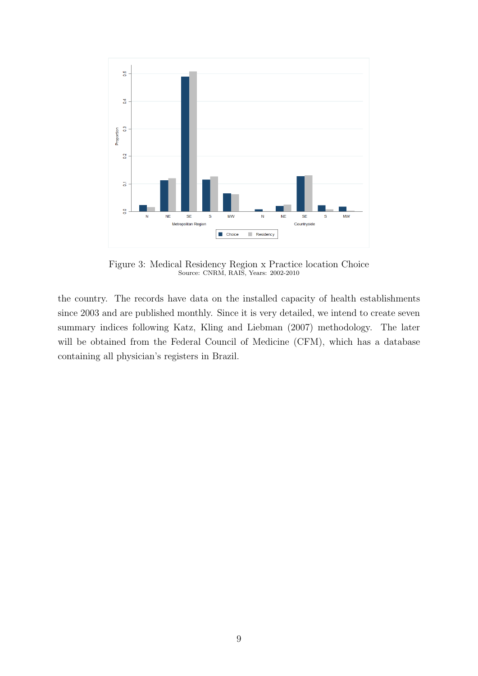

Figure 3: Medical Residency Region x Practice location Choice Source: CNRM, RAIS, Years: 2002-2010

the country. The records have data on the installed capacity of health establishments since 2003 and are published monthly. Since it is very detailed, we intend to create seven summary indices following Katz, Kling and Liebman (2007) methodology. The later will be obtained from the Federal Council of Medicine (CFM), which has a database containing all physician's registers in Brazil.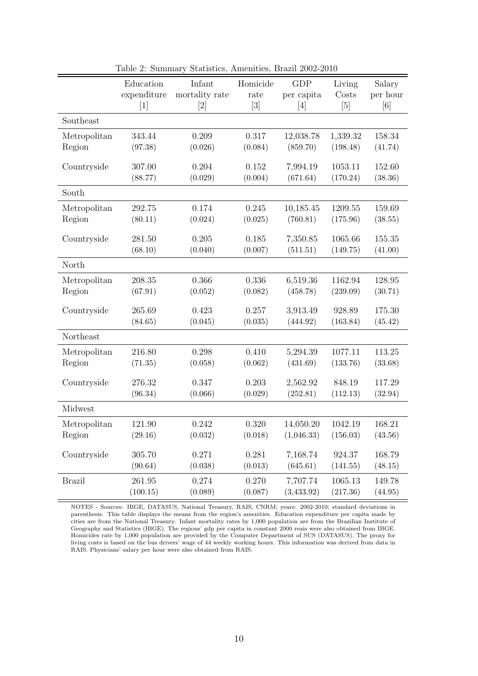|               | Education   | Infant         | Homicide                     | <b>GDP</b> | Living   | Salary   |
|---------------|-------------|----------------|------------------------------|------------|----------|----------|
|               | expenditure | mortality rate | rate                         | per capita | Costs    | per hour |
|               | $[1]$       | [2]            | $\left\lceil 3 \right\rceil$ | [4]        | [5]      | [6]      |
| Southeast     |             |                |                              |            |          |          |
| Metropolitan  | 343.44      | 0.209          | 0.317                        | 12,038.78  | 1,339.32 | 158.34   |
| Region        | (97.38)     | (0.026)        | (0.084)                      | (859.70)   | (198.48) | (41.74)  |
| Countryside   | 307.00      | 0.204          | 0.152                        | 7,994.19   | 1053.11  | 152.60   |
|               | (88.77)     | (0.029)        | (0.004)                      | (671.64)   | (170.24) | (38.36)  |
| South         |             |                |                              |            |          |          |
| Metropolitan  | 292.75      | 0.174          | 0.245                        | 10,185.45  | 1209.55  | 159.69   |
| Region        | (80.11)     | (0.024)        | (0.025)                      | (760.81)   | (175.96) | (38.55)  |
| Countryside   | 281.50      | 0.205          | 0.185                        | 7,350.85   | 1065.66  | 155.35   |
|               | (68.10)     | (0.040)        | (0.007)                      | (511.51)   | (149.75) | (41.00)  |
| North         |             |                |                              |            |          |          |
| Metropolitan  | 208.35      | 0.366          | 0.336                        | 6,519.36   | 1162.94  | 128.95   |
| Region        | (67.91)     | (0.052)        | (0.082)                      | (458.78)   | (239.09) | (30.71)  |
| Countryside   | 265.69      | 0.423          | 0.257                        | 3,913.49   | 928.89   | 175.30   |
|               | (84.65)     | (0.045)        | (0.035)                      | (444.92)   | (163.84) | (45.42)  |
| Northeast     |             |                |                              |            |          |          |
| Metropolitan  | 216.80      | 0.298          | 0.410                        | 5,294.39   | 1077.11  | 113.25   |
| Region        | (71.35)     | (0.058)        | (0.062)                      | (431.69)   | (133.76) | (33.68)  |
| Countryside   | 276.32      | 0.347          | 0.203                        | 2,562.92   | 848.19   | 117.29   |
|               | (96.34)     | (0.066)        | (0.029)                      | (252.81)   | (112.13) | (32.94)  |
| Midwest       |             |                |                              |            |          |          |
| Metropolitan  | 121.90      | 0.242          | 0.320                        | 14,050.20  | 1042.19  | 168.21   |
| Region        | (29.16)     | (0.032)        | (0.018)                      | (1,046.33) | (156.03) | (43.56)  |
| Countryside   | 305.70      | 0.271          | 0.281                        | 7,168.74   | 924.37   | 168.79   |
|               | (90.64)     | (0.038)        | (0.013)                      | (645.61)   | (141.55) | (48.15)  |
| <b>Brazil</b> | 261.95      | 0.274          | 0.270                        | 7,707.74   | 1065.13  | 149.78   |
|               | (100.15)    | (0.089)        | (0.087)                      | (3,433.92) | (217.36) | (44.95)  |

Table 2: Summary Statistics, Amenities, Brazil 2002-2010

NOTES - Sources: IBGE, DATASUS, National Treasury, RAIS, CNRM; years: 2002-2010; standard deviations in parenthesis. This table displays the means from the region's amenities. Education expenditure per capita made by cities are from the National Treasury. Infant mortality rates by 1,000 population are from the Brazilian Institute of Geography and Statistics (IBGE). The regions' gdp per capita in constant 2000 reais were also obtained from IBGE. Homicides rate by 1,000 population are provided by the Computer Department of SUS (DATASUS). The proxy for living costs is based on the bus drivers' wage of 44 weekly working hours. This information was derived from data in RAIS. Physicians' salary per hour were also obtained from RAIS.

 $\equiv$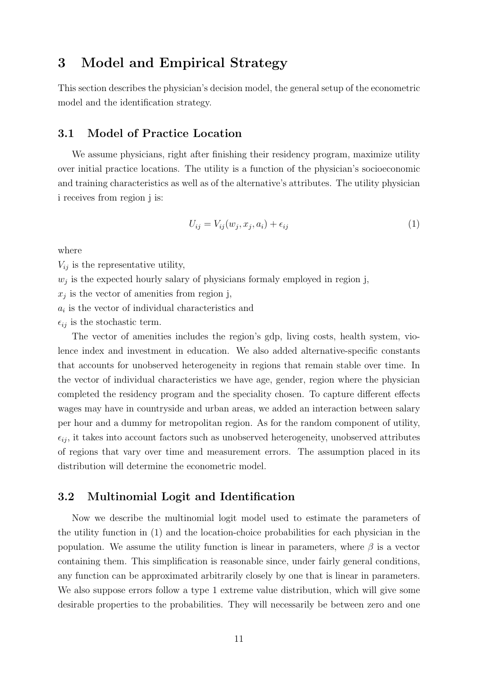# 3 Model and Empirical Strategy

This section describes the physician's decision model, the general setup of the econometric model and the identification strategy.

### 3.1 Model of Practice Location

We assume physicians, right after finishing their residency program, maximize utility over initial practice locations. The utility is a function of the physician's socioeconomic and training characteristics as well as of the alternative's attributes. The utility physician i receives from region j is:

$$
U_{ij} = V_{ij}(w_j, x_j, a_i) + \epsilon_{ij}
$$
\n<sup>(1)</sup>

where

 $V_{ij}$  is the representative utility,

 $w_j$  is the expected hourly salary of physicians formaly employed in region j,

 $x_j$  is the vector of amenities from region j,

 $a_i$  is the vector of individual characteristics and

 $\epsilon_{ij}$  is the stochastic term.

The vector of amenities includes the region's gdp, living costs, health system, violence index and investment in education. We also added alternative-specific constants that accounts for unobserved heterogeneity in regions that remain stable over time. In the vector of individual characteristics we have age, gender, region where the physician completed the residency program and the speciality chosen. To capture different effects wages may have in countryside and urban areas, we added an interaction between salary per hour and a dummy for metropolitan region. As for the random component of utility,  $\epsilon_{ij}$ , it takes into account factors such as unobserved heterogeneity, unobserved attributes of regions that vary over time and measurement errors. The assumption placed in its distribution will determine the econometric model.

### 3.2 Multinomial Logit and Identification

Now we describe the multinomial logit model used to estimate the parameters of the utility function in (1) and the location-choice probabilities for each physician in the population. We assume the utility function is linear in parameters, where  $\beta$  is a vector containing them. This simplification is reasonable since, under fairly general conditions, any function can be approximated arbitrarily closely by one that is linear in parameters. We also suppose errors follow a type 1 extreme value distribution, which will give some desirable properties to the probabilities. They will necessarily be between zero and one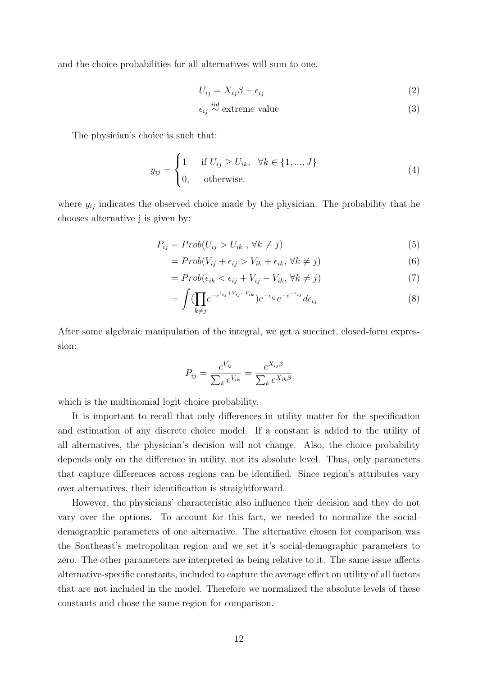and the choice probabilities for all alternatives will sum to one.

$$
U_{ij} = X_{ij}\beta + \epsilon_{ij} \tag{2}
$$

$$
\epsilon_{ij} \stackrel{iid}{\sim} \text{extreme value} \tag{3}
$$

The physician's choice is such that:

$$
y_{ij} = \begin{cases} 1 & \text{if } U_{ij} \ge U_{ik}, \quad \forall k \in \{1, ..., J\} \\ 0, & \text{otherwise.} \end{cases}
$$
(4)

where  $y_{ij}$  indicates the observed choice made by the physician. The probability that he chooses alternative j is given by:

$$
P_{ij} = Prob(U_{ij} > U_{ik}, \forall k \neq j)
$$
\n
$$
(5)
$$

$$
= Prob(V_{ij} + \epsilon_{ij} > V_{ik} + \epsilon_{ik}, \forall k \neq j)
$$
\n
$$
(6)
$$

$$
= Prob(\epsilon_{ik} < \epsilon_{ij} + V_{ij} - V_{ik}, \forall k \neq j) \tag{7}
$$

$$
= \int \left(\prod_{k\neq j} e^{-e^{\epsilon_{ij}+V_{ij}-V_{ik}}}\right) e^{-\epsilon_{ij}} e^{-e^{-\epsilon_{ij}}} d\epsilon_{ij}
$$
\n
$$
\tag{8}
$$

After some algebraic manipulation of the integral, we get a succinct, closed-form expression:

$$
P_{ij} = \frac{e^{V_{ij}}}{\sum_k e^{V_{ik}}} = \frac{e^{X_{ij}\beta}}{\sum_k e^{X_{ik}\beta}}
$$

which is the multinomial logit choice probability.

It is important to recall that only differences in utility matter for the specification and estimation of any discrete choice model. If a constant is added to the utility of all alternatives, the physician's decision will not change. Also, the choice probability depends only on the difference in utility, not its absolute level. Thus, only parameters that capture differences across regions can be identified. Since region's attributes vary over alternatives, their identification is straightforward.

However, the physicians' characteristic also influence their decision and they do not vary over the options. To account for this fact, we needed to normalize the socialdemographic parameters of one alternative. The alternative chosen for comparison was the Southeast's metropolitan region and we set it's social-demographic parameters to zero. The other parameters are interpreted as being relative to it. The same issue affects alternative-specific constants, included to capture the average effect on utility of all factors that are not included in the model. Therefore we normalized the absolute levels of these constants and chose the same region for comparison.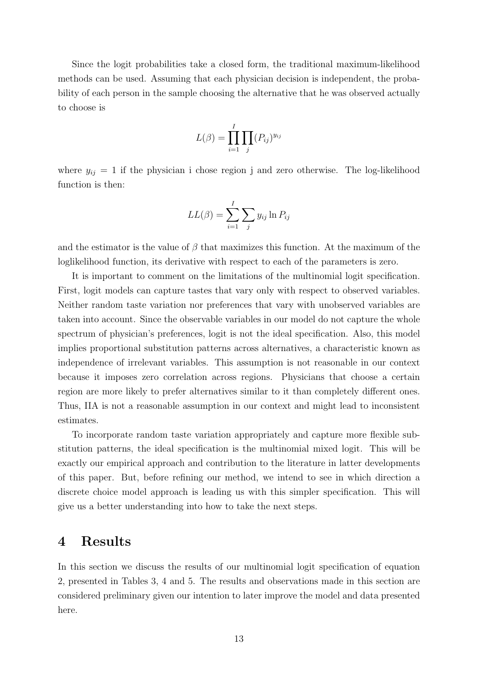Since the logit probabilities take a closed form, the traditional maximum-likelihood methods can be used. Assuming that each physician decision is independent, the probability of each person in the sample choosing the alternative that he was observed actually to choose is

$$
L(\beta) = \prod_{i=1}^{I} \prod_{j} (P_{ij})^{y_{ij}}
$$

where  $y_{ij} = 1$  if the physician i chose region j and zero otherwise. The log-likelihood function is then:

$$
LL(\beta) = \sum_{i=1}^{I} \sum_{j} y_{ij} \ln P_{ij}
$$

and the estimator is the value of  $\beta$  that maximizes this function. At the maximum of the loglikelihood function, its derivative with respect to each of the parameters is zero.

It is important to comment on the limitations of the multinomial logit specification. First, logit models can capture tastes that vary only with respect to observed variables. Neither random taste variation nor preferences that vary with unobserved variables are taken into account. Since the observable variables in our model do not capture the whole spectrum of physician's preferences, logit is not the ideal specification. Also, this model implies proportional substitution patterns across alternatives, a characteristic known as independence of irrelevant variables. This assumption is not reasonable in our context because it imposes zero correlation across regions. Physicians that choose a certain region are more likely to prefer alternatives similar to it than completely different ones. Thus, IIA is not a reasonable assumption in our context and might lead to inconsistent estimates.

To incorporate random taste variation appropriately and capture more flexible substitution patterns, the ideal specification is the multinomial mixed logit. This will be exactly our empirical approach and contribution to the literature in latter developments of this paper. But, before refining our method, we intend to see in which direction a discrete choice model approach is leading us with this simpler specification. This will give us a better understanding into how to take the next steps.

## 4 Results

In this section we discuss the results of our multinomial logit specification of equation 2, presented in Tables 3, 4 and 5. The results and observations made in this section are considered preliminary given our intention to later improve the model and data presented here.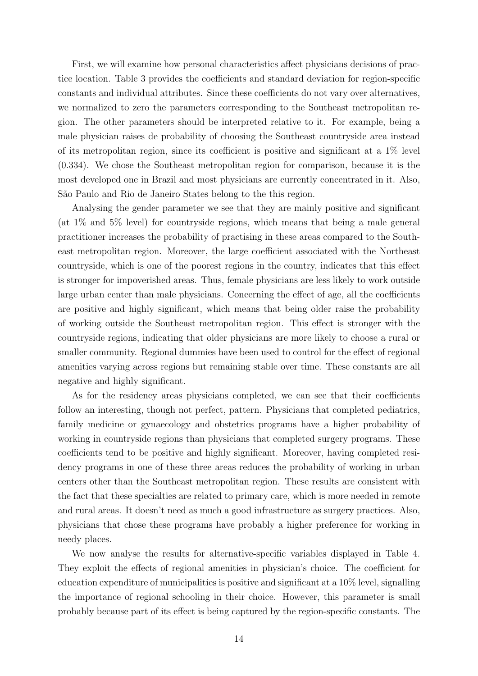First, we will examine how personal characteristics affect physicians decisions of practice location. Table 3 provides the coefficients and standard deviation for region-specific constants and individual attributes. Since these coefficients do not vary over alternatives, we normalized to zero the parameters corresponding to the Southeast metropolitan region. The other parameters should be interpreted relative to it. For example, being a male physician raises de probability of choosing the Southeast countryside area instead of its metropolitan region, since its coefficient is positive and significant at a 1% level (0.334). We chose the Southeast metropolitan region for comparison, because it is the most developed one in Brazil and most physicians are currently concentrated in it. Also, S˜ao Paulo and Rio de Janeiro States belong to the this region.

Analysing the gender parameter we see that they are mainly positive and significant (at 1% and 5% level) for countryside regions, which means that being a male general practitioner increases the probability of practising in these areas compared to the Southeast metropolitan region. Moreover, the large coefficient associated with the Northeast countryside, which is one of the poorest regions in the country, indicates that this effect is stronger for impoverished areas. Thus, female physicians are less likely to work outside large urban center than male physicians. Concerning the effect of age, all the coefficients are positive and highly significant, which means that being older raise the probability of working outside the Southeast metropolitan region. This effect is stronger with the countryside regions, indicating that older physicians are more likely to choose a rural or smaller community. Regional dummies have been used to control for the effect of regional amenities varying across regions but remaining stable over time. These constants are all negative and highly significant.

As for the residency areas physicians completed, we can see that their coefficients follow an interesting, though not perfect, pattern. Physicians that completed pediatrics, family medicine or gynaecology and obstetrics programs have a higher probability of working in countryside regions than physicians that completed surgery programs. These coefficients tend to be positive and highly significant. Moreover, having completed residency programs in one of these three areas reduces the probability of working in urban centers other than the Southeast metropolitan region. These results are consistent with the fact that these specialties are related to primary care, which is more needed in remote and rural areas. It doesn't need as much a good infrastructure as surgery practices. Also, physicians that chose these programs have probably a higher preference for working in needy places.

We now analyse the results for alternative-specific variables displayed in Table 4. They exploit the effects of regional amenities in physician's choice. The coefficient for education expenditure of municipalities is positive and significant at a 10% level, signalling the importance of regional schooling in their choice. However, this parameter is small probably because part of its effect is being captured by the region-specific constants. The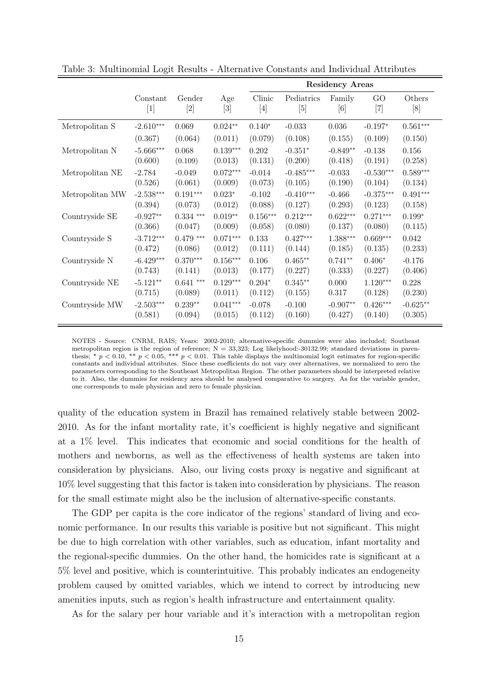|                 |             |             |            | <b>Residency Areas</b> |             |            |                   |            |
|-----------------|-------------|-------------|------------|------------------------|-------------|------------|-------------------|------------|
|                 | Constant    | Gender      | Age        | Clinic                 | Pediatrics  | Family     | GO                | Others     |
|                 | [1]         | $[2]$       | $[3]$      | $[4]$                  | [5]         | [6]        | $\left[ 7\right]$ | [8]        |
| Metropolitan S  | $-2.610***$ | 0.069       | $0.024**$  | $0.140*$               | $-0.033$    | $0.036\,$  | $-0.197*$         | $0.561***$ |
|                 | (0.367)     | (0.064)     | (0.011)    | (0.079)                | (0.108)     | (0.155)    | (0.109)           | (0.150)    |
| Metropolitan N  | $-5.666***$ | 0.068       | $0.139***$ | 0.202                  | $-0.351*$   | $-0.849**$ | $-0.138$          | 0.156      |
|                 | (0.600)     | (0.109)     | (0.013)    | (0.131)                | (0.200)     | (0.418)    | (0.191)           | (0.258)    |
| Metropolitan NE | $-2.784$    | $-0.049$    | $0.072***$ | $-0.014$               | $-0.485***$ | $-0.033$   | $-0.530***$       | $0.589***$ |
|                 | (0.526)     | (0.061)     | (0.009)    | (0.073)                | (0.105)     | (0.190)    | (0.104)           | (0.134)    |
| Metropolitan MW | $-2.538***$ | $0.191***$  | $0.023*$   | $-0.102$               | $-0.410***$ | $-0.466$   | $-0.375***$       | $0.491***$ |
|                 | (0.394)     | (0.073)     | (0.012)    | (0.088)                | (0.127)     | (0.293)    | (0.123)           | (0.158)    |
| Countryside SE  | $-0.927**$  | $0.334$ *** | $0.019**$  | $0.156***$             | $0.212***$  | $0.622***$ | $0.271***$        | $0.199*$   |
|                 | (0.366)     | (0.047)     | (0.009)    | (0.058)                | (0.080)     | (0.137)    | (0.080)           | (0.115)    |
| Countryside S   | $-3.712***$ | $0.479$ *** | $0.071***$ | 0.133                  | $0.427***$  | $1.388***$ | $0.669***$        | 0.042      |
|                 | (0.472)     | (0.086)     | (0.012)    | (0.111)                | (0.144)     | (0.185)    | (0.135)           | (0.233)    |
| Countryside N   | $-6.429***$ | $0.370***$  | $0.156***$ | 0.106                  | $0.465**$   | $0.741**$  | $0.406*$          | $-0.176$   |
|                 | (0.743)     | (0.141)     | (0.013)    | (0.177)                | (0.227)     | (0.333)    | (0.227)           | (0.406)    |
| Countryside NE  | $-5.121**$  | $0.641$ *** | $0.129***$ | $0.204*$               | $0.345**$   | 0.000      | $1.120***$        | 0.228      |
|                 | (0.715)     | (0.089)     | (0.011)    | (0.112)                | (0.155)     | 0.317      | (0.128)           | (0.230)    |
| Countryside MW  | $-2.503***$ | $0.239**$   | $0.041***$ | $-0.078$               | $-0.100$    | $-0.907**$ | $0.426***$        | $-0.625**$ |
|                 | (0.581)     | (0.094)     | (0.015)    | (0.112)                | (0.160)     | (0.427)    | (0.140)           | (0.305)    |

Table 3: Multinomial Logit Results - Alternative Constants and Individual Attributes

NOTES - Source: CNRM, RAIS; Years: 2002-2010; alternative-specific dummies were also included; Southeast metropolitan region is the region of reference;  $N = 33,323$ ; Log likelyhood:-30132.99; standard deviations in parenthesis; \*  $p < 0.10$ , \*\*  $p < 0.05$ , \*\*\*  $p < 0.01$ . This table displays the multinomial logit estimates for region-specific constants and individual attributes. Since these coefficients do not vary over alternatives, we normalized to zero the parameters corresponding to the Southeast Metropolitan Region. The other parameters should be interpreted relative to it. Also, the dummies for residency area should be analysed comparative to surgery. As for the variable gender, one corresponds to male physician and zero to female physician.

quality of the education system in Brazil has remained relatively stable between 2002- 2010. As for the infant mortality rate, it's coefficient is highly negative and significant at a 1% level. This indicates that economic and social conditions for the health of mothers and newborns, as well as the effectiveness of health systems are taken into consideration by physicians. Also, our living costs proxy is negative and significant at 10% level suggesting that this factor is taken into consideration by physicians. The reason for the small estimate might also be the inclusion of alternative-specific constants.

The GDP per capita is the core indicator of the regions' standard of living and economic performance. In our results this variable is positive but not significant. This might be due to high correlation with other variables, such as education, infant mortality and the regional-specific dummies. On the other hand, the homicides rate is significant at a 5% level and positive, which is counterintuitive. This probably indicates an endogeneity problem caused by omitted variables, which we intend to correct by introducing new amenities inputs, such as region's health infrastructure and entertainment quality.

As for the salary per hour variable and it's interaction with a metropolitan region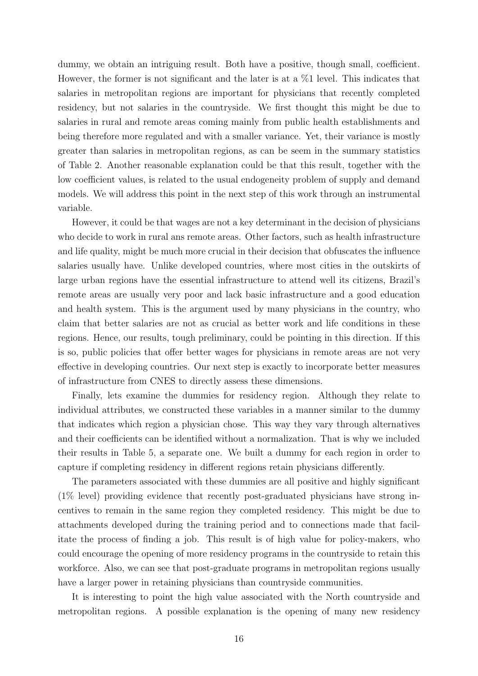dummy, we obtain an intriguing result. Both have a positive, though small, coefficient. However, the former is not significant and the later is at a %1 level. This indicates that salaries in metropolitan regions are important for physicians that recently completed residency, but not salaries in the countryside. We first thought this might be due to salaries in rural and remote areas coming mainly from public health establishments and being therefore more regulated and with a smaller variance. Yet, their variance is mostly greater than salaries in metropolitan regions, as can be seem in the summary statistics of Table 2. Another reasonable explanation could be that this result, together with the low coefficient values, is related to the usual endogeneity problem of supply and demand models. We will address this point in the next step of this work through an instrumental variable.

However, it could be that wages are not a key determinant in the decision of physicians who decide to work in rural ans remote areas. Other factors, such as health infrastructure and life quality, might be much more crucial in their decision that obfuscates the influence salaries usually have. Unlike developed countries, where most cities in the outskirts of large urban regions have the essential infrastructure to attend well its citizens, Brazil's remote areas are usually very poor and lack basic infrastructure and a good education and health system. This is the argument used by many physicians in the country, who claim that better salaries are not as crucial as better work and life conditions in these regions. Hence, our results, tough preliminary, could be pointing in this direction. If this is so, public policies that offer better wages for physicians in remote areas are not very effective in developing countries. Our next step is exactly to incorporate better measures of infrastructure from CNES to directly assess these dimensions.

Finally, lets examine the dummies for residency region. Although they relate to individual attributes, we constructed these variables in a manner similar to the dummy that indicates which region a physician chose. This way they vary through alternatives and their coefficients can be identified without a normalization. That is why we included their results in Table 5, a separate one. We built a dummy for each region in order to capture if completing residency in different regions retain physicians differently.

The parameters associated with these dummies are all positive and highly significant (1% level) providing evidence that recently post-graduated physicians have strong incentives to remain in the same region they completed residency. This might be due to attachments developed during the training period and to connections made that facilitate the process of finding a job. This result is of high value for policy-makers, who could encourage the opening of more residency programs in the countryside to retain this workforce. Also, we can see that post-graduate programs in metropolitan regions usually have a larger power in retaining physicians than countryside communities.

It is interesting to point the high value associated with the North countryside and metropolitan regions. A possible explanation is the opening of many new residency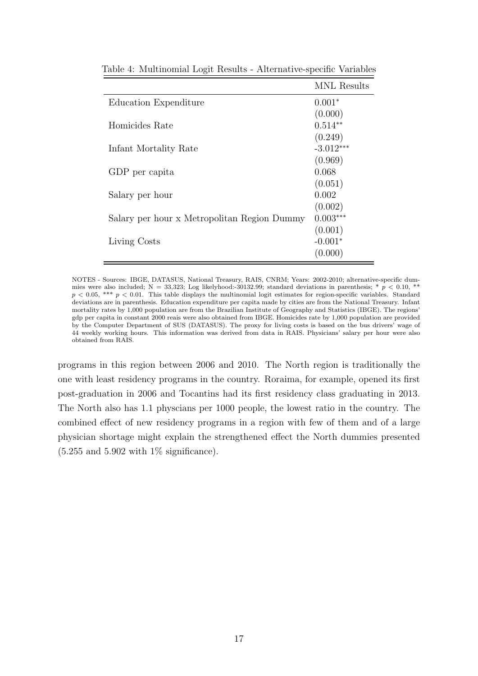|                                             | <b>MNL</b> Results |
|---------------------------------------------|--------------------|
| Education Expenditure                       | $0.001*$           |
|                                             | (0.000)            |
| Homicides Rate                              | $0.514**$          |
|                                             | (0.249)            |
| Infant Mortality Rate                       | $-3.012***$        |
|                                             | (0.969)            |
| GDP per capita                              | 0.068              |
|                                             | (0.051)            |
| Salary per hour                             | 0.002              |
|                                             | (0.002)            |
| Salary per hour x Metropolitan Region Dummy | $0.003***$         |
|                                             | (0.001)            |
| Living Costs                                | $-0.001*$          |
|                                             | (0.000)            |

Table 4: Multinomial Logit Results - Alternative-specific Variables

NOTES - Sources: IBGE, DATASUS, National Treasury, RAIS, CNRM; Years: 2002-2010; alternative-specific dummies were also included; N = 33,323; Log likelyhood:-30132.99; standard deviations in parenthesis; \*  $p < 0.10$ , \*\*  $p < 0.05$ , \*\*\*  $p < 0.01$ . This table displays the multinomial logit estimates for region-specific variables. Standard deviations are in parenthesis. Education expenditure per capita made by cities are from the National Treasury. Infant mortality rates by 1,000 population are from the Brazilian Institute of Geography and Statistics (IBGE). The regions' gdp per capita in constant 2000 reais were also obtained from IBGE. Homicides rate by 1,000 population are provided by the Computer Department of SUS (DATASUS). The proxy for living costs is based on the bus drivers' wage of 44 weekly working hours. This information was derived from data in RAIS. Physicians' salary per hour were also obtained from RAIS.

programs in this region between 2006 and 2010. The North region is traditionally the one with least residency programs in the country. Roraima, for example, opened its first post-graduation in 2006 and Tocantins had its first residency class graduating in 2013. The North also has 1.1 physcians per 1000 people, the lowest ratio in the country. The combined effect of new residency programs in a region with few of them and of a large physician shortage might explain the strengthened effect the North dummies presented  $(5.255 \text{ and } 5.902 \text{ with } 1\% \text{ significance}).$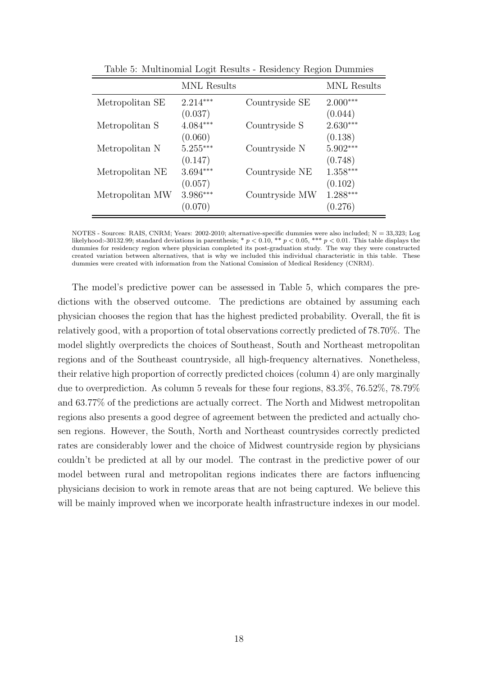|                 | <b>MNL</b> Results |                | <b>MNL</b> Results |
|-----------------|--------------------|----------------|--------------------|
| Metropolitan SE | $2.214***$         | Countryside SE | $2.000***$         |
|                 | (0.037)            |                | (0.044)            |
| Metropolitan S  | $4.084***$         | Countryside S  | $2.630***$         |
|                 | (0.060)            |                | (0.138)            |
| Metropolitan N  | $5.255***$         | Countryside N  | $5.902***$         |
|                 | (0.147)            |                | (0.748)            |
| Metropolitan NE | $3.694***$         | Countryside NE | $1.358***$         |
|                 | (0.057)            |                | (0.102)            |
| Metropolitan MW | 3.986***           | Countryside MW | $1.288***$         |
|                 | (0.070)            |                | (0.276)            |

Table 5: Multinomial Logit Results - Residency Region Dummies

NOTES - Sources: RAIS, CNRM; Years: 2002-2010; alternative-specific dummies were also included; N = 33,323; Log likelyhood:-30132.99; standard deviations in parenthesis; \*  $p < 0.10$ , \*\*  $p < 0.05$ , \*\*\*  $p < 0.01$ . This table displays the dummies for residency region where physician completed its post-graduation study. The way they were constructed created variation between alternatives, that is why we included this individual characteristic in this table. These dummies were created with information from the National Comission of Medical Residency (CNRM).

The model's predictive power can be assessed in Table 5, which compares the predictions with the observed outcome. The predictions are obtained by assuming each physician chooses the region that has the highest predicted probability. Overall, the fit is relatively good, with a proportion of total observations correctly predicted of 78.70%. The model slightly overpredicts the choices of Southeast, South and Northeast metropolitan regions and of the Southeast countryside, all high-frequency alternatives. Nonetheless, their relative high proportion of correctly predicted choices (column 4) are only marginally due to overprediction. As column 5 reveals for these four regions, 83.3%, 76.52%, 78.79% and 63.77% of the predictions are actually correct. The North and Midwest metropolitan regions also presents a good degree of agreement between the predicted and actually chosen regions. However, the South, North and Northeast countrysides correctly predicted rates are considerably lower and the choice of Midwest countryside region by physicians couldn't be predicted at all by our model. The contrast in the predictive power of our model between rural and metropolitan regions indicates there are factors influencing physicians decision to work in remote areas that are not being captured. We believe this will be mainly improved when we incorporate health infrastructure indexes in our model.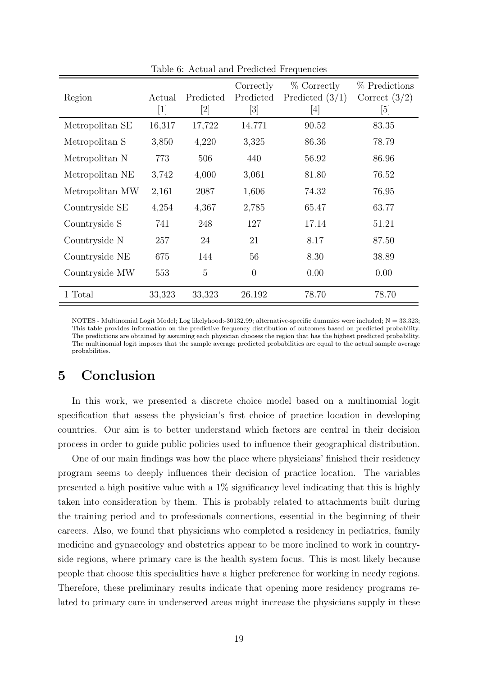| Region          | Actual<br>$[1]$ | Predicted | Correctly<br>Predicted<br>$\lceil 3 \rceil$ | $%$ Correctly<br>Predicted $(3/1)$<br>$[4] % \includegraphics[width=0.9\columnwidth]{figures/fig_4} \caption{A graph shows a function of the number of times, and the number of times, in the left, the number of times, in the right, the number of times, in the right, the number of times, in the right, the number of times, in the right, the number of times, in the right, the number of times, in the right, the number of times, in the right, the number of times, in the right, the number of times, in the right, the number of times, in the right, the number of times, in the right, the number of times, in the right, the number of times, in the right, the number of times, in the right, the number of times, in the right, the number of times, in the right, the number of times, in the right, the number of times, in the right, the number of times, in the right, the number$ | % Predictions<br>Correct $(3/2)$<br>[5] |
|-----------------|-----------------|-----------|---------------------------------------------|----------------------------------------------------------------------------------------------------------------------------------------------------------------------------------------------------------------------------------------------------------------------------------------------------------------------------------------------------------------------------------------------------------------------------------------------------------------------------------------------------------------------------------------------------------------------------------------------------------------------------------------------------------------------------------------------------------------------------------------------------------------------------------------------------------------------------------------------------------------------------------------------------------|-----------------------------------------|
| Metropolitan SE | 16,317          | 17,722    | 14,771                                      | 90.52                                                                                                                                                                                                                                                                                                                                                                                                                                                                                                                                                                                                                                                                                                                                                                                                                                                                                                    | 83.35                                   |
| Metropolitan S  | 3,850           | 4,220     | 3,325                                       | 86.36                                                                                                                                                                                                                                                                                                                                                                                                                                                                                                                                                                                                                                                                                                                                                                                                                                                                                                    | 78.79                                   |
| Metropolitan N  | 773             | 506       | 440                                         | 56.92                                                                                                                                                                                                                                                                                                                                                                                                                                                                                                                                                                                                                                                                                                                                                                                                                                                                                                    | 86.96                                   |
| Metropolitan NE | 3,742           | 4,000     | 3,061                                       | 81.80                                                                                                                                                                                                                                                                                                                                                                                                                                                                                                                                                                                                                                                                                                                                                                                                                                                                                                    | 76.52                                   |
| Metropolitan MW | 2,161           | 2087      | 1,606                                       | 74.32                                                                                                                                                                                                                                                                                                                                                                                                                                                                                                                                                                                                                                                                                                                                                                                                                                                                                                    | 76,95                                   |
| Countryside SE  | 4,254           | 4,367     | 2,785                                       | 65.47                                                                                                                                                                                                                                                                                                                                                                                                                                                                                                                                                                                                                                                                                                                                                                                                                                                                                                    | 63.77                                   |
| Countryside S   | 741             | 248       | 127                                         | 17.14                                                                                                                                                                                                                                                                                                                                                                                                                                                                                                                                                                                                                                                                                                                                                                                                                                                                                                    | 51.21                                   |
| Countryside N   | 257             | 24        | 21                                          | 8.17                                                                                                                                                                                                                                                                                                                                                                                                                                                                                                                                                                                                                                                                                                                                                                                                                                                                                                     | 87.50                                   |
| Countryside NE  | 675             | 144       | 56                                          | 8.30                                                                                                                                                                                                                                                                                                                                                                                                                                                                                                                                                                                                                                                                                                                                                                                                                                                                                                     | 38.89                                   |
| Countryside MW  | 553             | 5         | $\overline{0}$                              | 0.00                                                                                                                                                                                                                                                                                                                                                                                                                                                                                                                                                                                                                                                                                                                                                                                                                                                                                                     | 0.00                                    |
| 1 Total         | 33,323          | 33,323    | 26,192                                      | 78.70                                                                                                                                                                                                                                                                                                                                                                                                                                                                                                                                                                                                                                                                                                                                                                                                                                                                                                    | 78.70                                   |

Table 6: Actual and Predicted Frequencies

NOTES - Multinomial Logit Model; Log likelyhood:-30132.99; alternative-specific dummies were included; N = 33,323; This table provides information on the predictive frequency distribution of outcomes based on predicted probability. The predictions are obtained by assuming each physician chooses the region that has the highest predicted probability. The multinomial logit imposes that the sample average predicted probabilities are equal to the actual sample average probabilities.

## 5 Conclusion

In this work, we presented a discrete choice model based on a multinomial logit specification that assess the physician's first choice of practice location in developing countries. Our aim is to better understand which factors are central in their decision process in order to guide public policies used to influence their geographical distribution.

One of our main findings was how the place where physicians' finished their residency program seems to deeply influences their decision of practice location. The variables presented a high positive value with a 1% significancy level indicating that this is highly taken into consideration by them. This is probably related to attachments built during the training period and to professionals connections, essential in the beginning of their careers. Also, we found that physicians who completed a residency in pediatrics, family medicine and gynaecology and obstetrics appear to be more inclined to work in countryside regions, where primary care is the health system focus. This is most likely because people that choose this specialities have a higher preference for working in needy regions. Therefore, these preliminary results indicate that opening more residency programs related to primary care in underserved areas might increase the physicians supply in these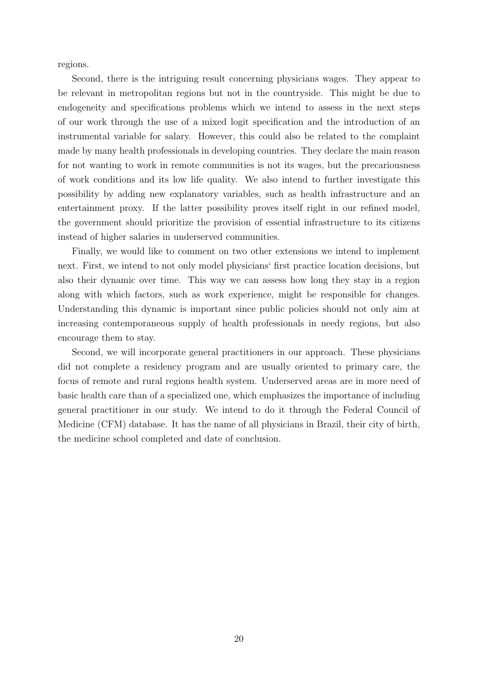regions.

Second, there is the intriguing result concerning physicians wages. They appear to be relevant in metropolitan regions but not in the countryside. This might be due to endogeneity and specifications problems which we intend to assess in the next steps of our work through the use of a mixed logit specification and the introduction of an instrumental variable for salary. However, this could also be related to the complaint made by many health professionals in developing countries. They declare the main reason for not wanting to work in remote communities is not its wages, but the precariousness of work conditions and its low life quality. We also intend to further investigate this possibility by adding new explanatory variables, such as health infrastructure and an entertainment proxy. If the latter possibility proves itself right in our refined model, the government should prioritize the provision of essential infrastructure to its citizens instead of higher salaries in underserved communities.

Finally, we would like to comment on two other extensions we intend to implement next. First, we intend to not only model physicians' first practice location decisions, but also their dynamic over time. This way we can assess how long they stay in a region along with which factors, such as work experience, might be responsible for changes. Understanding this dynamic is important since public policies should not only aim at increasing contemporaneous supply of health professionals in needy regions, but also encourage them to stay.

Second, we will incorporate general practitioners in our approach. These physicians did not complete a residency program and are usually oriented to primary care, the focus of remote and rural regions health system. Underserved areas are in more need of basic health care than of a specialized one, which emphasizes the importance of including general practitioner in our study. We intend to do it through the Federal Council of Medicine (CFM) database. It has the name of all physicians in Brazil, their city of birth, the medicine school completed and date of conclusion.